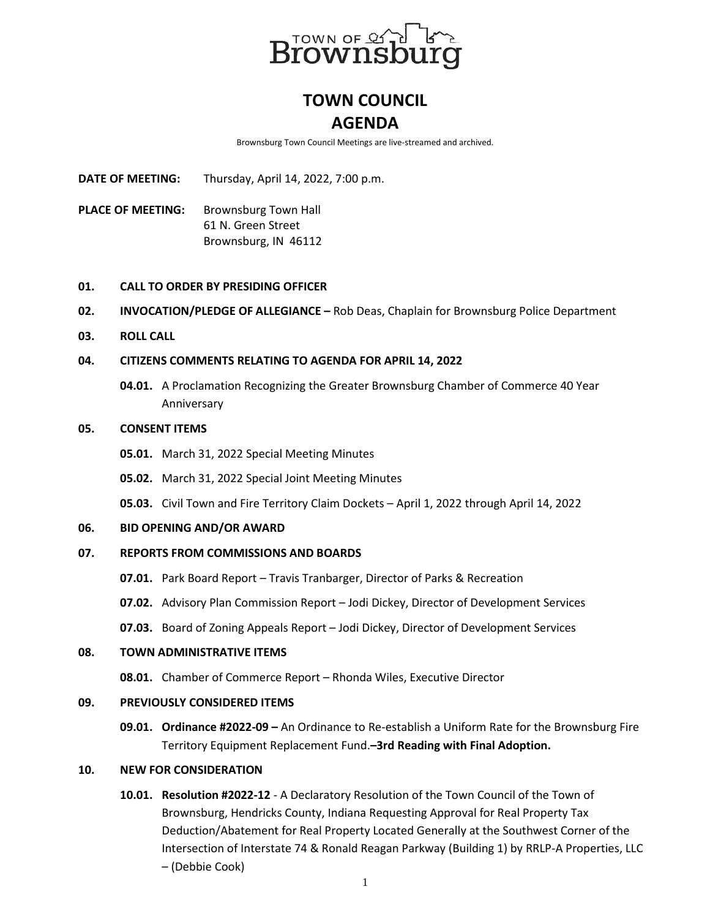

# **TOWN COUNCIL AGENDA**

Brownsburg Town Council Meetings are live-streamed and archived.

**DATE OF MEETING:** Thursday, April 14, 2022, 7:00 p.m.

PLACE OF MEETING: Brownsburg Town Hall 61 N. Green Street Brownsburg, IN 46112

## **01. CALL TO ORDER BY PRESIDING OFFICER**

- **02. INVOCATION/PLEDGE OF ALLEGIANCE –** Rob Deas, Chaplain for Brownsburg Police Department
- **03. ROLL CALL**

# **04. CITIZENS COMMENTS RELATING TO AGENDA FOR APRIL 14, 2022**

**04.01.** A Proclamation Recognizing the Greater Brownsburg Chamber of Commerce 40 Year Anniversary

#### **05. CONSENT ITEMS**

- **05.01.** March 31, 2022 Special Meeting Minutes
- **05.02.** March 31, 2022 Special Joint Meeting Minutes

**05.03.** Civil Town and Fire Territory Claim Dockets – April 1, 2022 through April 14, 2022

#### **06. BID OPENING AND/OR AWARD**

# **07. REPORTS FROM COMMISSIONS AND BOARDS**

- **07.01.** Park Board Report Travis Tranbarger, Director of Parks & Recreation
- **07.02.** Advisory Plan Commission Report Jodi Dickey, Director of Development Services
- **07.03.** Board of Zoning Appeals Report Jodi Dickey, Director of Development Services

#### **08. TOWN ADMINISTRATIVE ITEMS**

**08.01.** Chamber of Commerce Report – Rhonda Wiles, Executive Director

## **09. PREVIOUSLY CONSIDERED ITEMS**

**09.01. Ordinance #2022-09 –** An Ordinance to Re-establish a Uniform Rate for the Brownsburg Fire Territory Equipment Replacement Fund.**–3rd Reading with Final Adoption.**

## **10. NEW FOR CONSIDERATION**

**10.01. Resolution #2022-12** - A Declaratory Resolution of the Town Council of the Town of Brownsburg, Hendricks County, Indiana Requesting Approval for Real Property Tax Deduction/Abatement for Real Property Located Generally at the Southwest Corner of the Intersection of Interstate 74 & Ronald Reagan Parkway (Building 1) by RRLP-A Properties, LLC – (Debbie Cook)